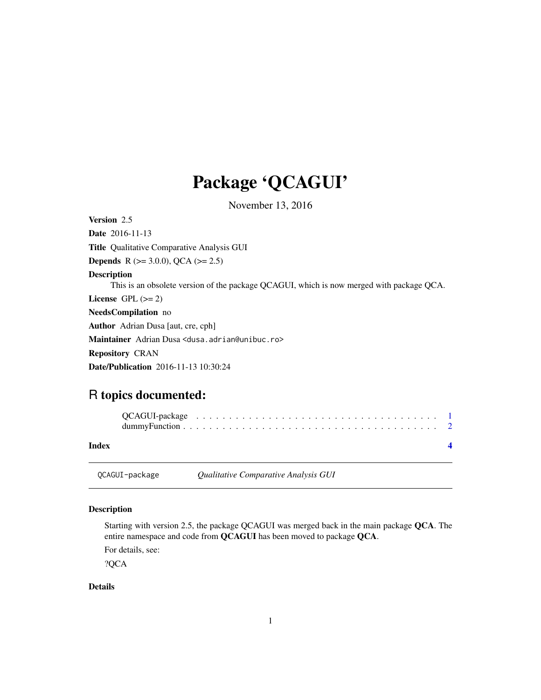# <span id="page-0-0"></span>Package 'QCAGUI'

November 13, 2016

Version 2.5 Date 2016-11-13 Title Qualitative Comparative Analysis GUI **Depends** R ( $>= 3.0.0$ ), QCA ( $>= 2.5$ ) Description This is an obsolete version of the package QCAGUI, which is now merged with package QCA. License GPL  $(>= 2)$ NeedsCompilation no Author Adrian Dusa [aut, cre, cph] Maintainer Adrian Dusa <dusa.adrian@unibuc.ro> Repository CRAN Date/Publication 2016-11-13 10:30:24

# R topics documented:

| Index          |                                      |  |
|----------------|--------------------------------------|--|
| QCAGUI-package | Qualitative Comparative Analysis GUI |  |

#### Description

Starting with version 2.5, the package QCAGUI was merged back in the main package QCA. The entire namespace and code from QCAGUI has been moved to package QCA.

For details, see:

?QCA

#### Details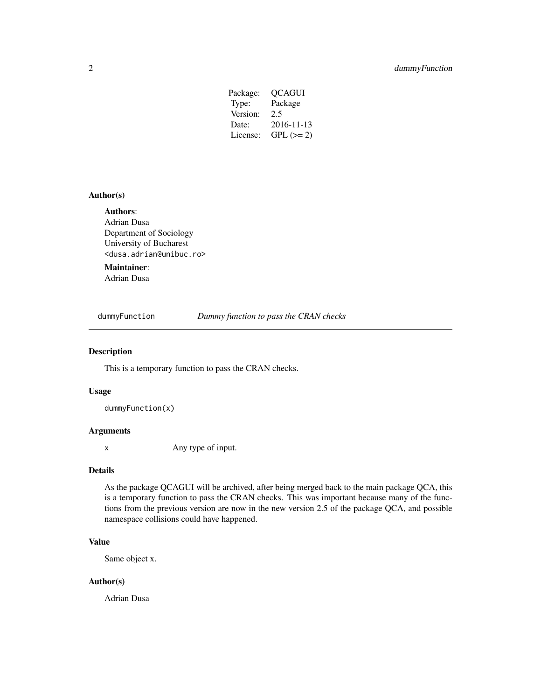| Package: | OCAGUI      |
|----------|-------------|
| Type:    | Package     |
| Version: | 2.5         |
| Date:    | 2016-11-13  |
| License: | $GPL (= 2)$ |
|          |             |

#### <span id="page-1-0"></span>Author(s)

#### Authors:

Adrian Dusa Department of Sociology University of Bucharest <dusa.adrian@unibuc.ro>

### Maintainer:

Adrian Dusa

dummyFunction *Dummy function to pass the CRAN checks*

#### Description

This is a temporary function to pass the CRAN checks.

#### Usage

dummyFunction(x)

#### Arguments

x Any type of input.

#### Details

As the package QCAGUI will be archived, after being merged back to the main package QCA, this is a temporary function to pass the CRAN checks. This was important because many of the functions from the previous version are now in the new version 2.5 of the package QCA, and possible namespace collisions could have happened.

#### Value

Same object x.

#### Author(s)

Adrian Dusa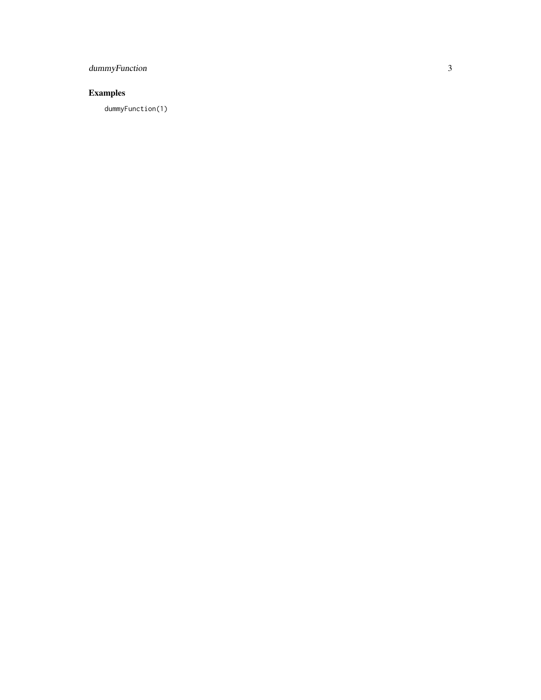# dummyFunction

# Examples

dummyFunction(1)